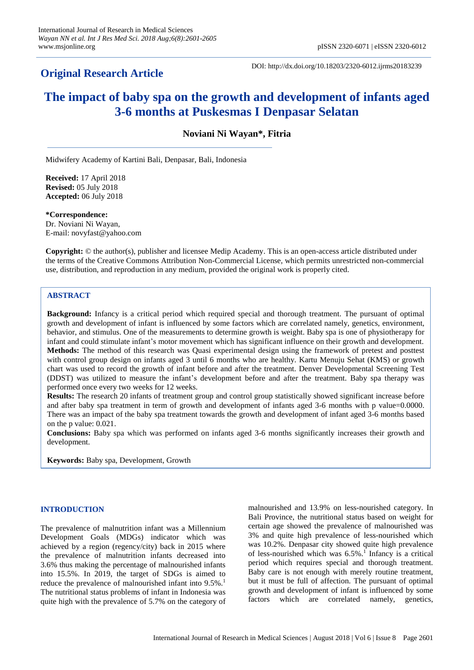# **Original Research Article**

DOI: http://dx.doi.org/10.18203/2320-6012.ijrms20183239

# **The impact of baby spa on the growth and development of infants aged 3-6 months at Puskesmas I Denpasar Selatan**

**Noviani Ni Wayan\*, Fitria**

Midwifery Academy of Kartini Bali, Denpasar, Bali, Indonesia

**Received:** 17 April 2018 **Revised:** 05 July 2018 **Accepted:** 06 July 2018

**\*Correspondence:** Dr. Noviani Ni Wayan, E-mail: novyfast@yahoo.com

**Copyright:** © the author(s), publisher and licensee Medip Academy. This is an open-access article distributed under the terms of the Creative Commons Attribution Non-Commercial License, which permits unrestricted non-commercial use, distribution, and reproduction in any medium, provided the original work is properly cited.

# **ABSTRACT**

**Background:** Infancy is a critical period which required special and thorough treatment. The pursuant of optimal growth and development of infant is influenced by some factors which are correlated namely, genetics, environment, behavior, and stimulus. One of the measurements to determine growth is weight. Baby spa is one of physiotherapy for infant and could stimulate infant's motor movement which has significant influence on their growth and development. **Methods:** The method of this research was Quasi experimental design using the framework of pretest and posttest with control group design on infants aged 3 until 6 months who are healthy. Kartu Menuju Sehat (KMS) or growth chart was used to record the growth of infant before and after the treatment. Denver Developmental Screening Test (DDST) was utilized to measure the infant's development before and after the treatment. Baby spa therapy was performed once every two weeks for 12 weeks.

**Results:** The research 20 infants of treatment group and control group statistically showed significant increase before and after baby spa treatment in term of growth and development of infants aged 3-6 months with p value=0.0000. There was an impact of the baby spa treatment towards the growth and development of infant aged 3-6 months based on the p value: 0.021.

**Conclusions:** Baby spa which was performed on infants aged 3-6 months significantly increases their growth and development.

**Keywords:** Baby spa, Development, Growth

## **INTRODUCTION**

The prevalence of malnutrition infant was a Millennium Development Goals (MDGs) indicator which was achieved by a region (regency/city) back in 2015 where the prevalence of malnutrition infants decreased into 3.6% thus making the percentage of malnourished infants into 15.5%. In 2019, the target of SDGs is aimed to reduce the prevalence of malnourished infant into 9.5%. 1 The nutritional status problems of infant in Indonesia was quite high with the prevalence of 5.7% on the category of malnourished and 13.9% on less-nourished category. In Bali Province, the nutritional status based on weight for certain age showed the prevalence of malnourished was 3% and quite high prevalence of less-nourished which was 10.2%. Denpasar city showed quite high prevalence of less-nourished which was 6.5%. 1 Infancy is a critical period which requires special and thorough treatment. Baby care is not enough with merely routine treatment, but it must be full of affection. The pursuant of optimal growth and development of infant is influenced by some factors which are correlated namely, genetics,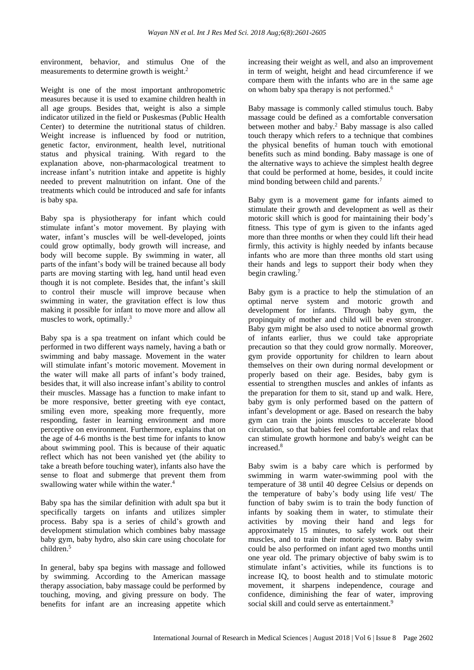environment, behavior, and stimulus One of the measurements to determine growth is weight.<sup>2</sup>

Weight is one of the most important anthropometric measures because it is used to examine children health in all age groups. Besides that, weight is also a simple indicator utilized in the field or Puskesmas (Public Health Center) to determine the nutritional status of children. Weight increase is influenced by food or nutrition, genetic factor, environment, health level, nutritional status and physical training. With regard to the explanation above, non-pharmacological treatment to increase infant's nutrition intake and appetite is highly needed to prevent malnutrition on infant. One of the treatments which could be introduced and safe for infants is baby spa.

Baby spa is physiotherapy for infant which could stimulate infant's motor movement. By playing with water, infant's muscles will be well-developed, joints could grow optimally, body growth will increase, and body will become supple. By swimming in water, all parts of the infant's body will be trained because all body parts are moving starting with leg, hand until head even though it is not complete. Besides that, the infant's skill to control their muscle will improve because when swimming in water, the gravitation effect is low thus making it possible for infant to move more and allow all muscles to work, optimally.<sup>3</sup>

Baby spa is a spa treatment on infant which could be performed in two different ways namely, having a bath or swimming and baby massage. Movement in the water will stimulate infant's motoric movement. Movement in the water will make all parts of infant's body trained, besides that, it will also increase infant's ability to control their muscles. Massage has a function to make infant to be more responsive, better greeting with eye contact, smiling even more, speaking more frequently, more responding, faster in learning environment and more perceptive on environment. Furthermore, explains that on the age of 4-6 months is the best time for infants to know about swimming pool. This is because of their aquatic reflect which has not been vanished yet (the ability to take a breath before touching water), infants also have the sense to float and submerge that prevent them from swallowing water while within the water. 4

Baby spa has the similar definition with adult spa but it specifically targets on infants and utilizes simpler process. Baby spa is a series of child's growth and development stimulation which combines baby massage baby gym, baby hydro, also skin care using chocolate for children. 5

In general, baby spa begins with massage and followed by swimming. According to the American massage therapy association, baby massage could be performed by touching, moving, and giving pressure on body. The benefits for infant are an increasing appetite which increasing their weight as well, and also an improvement in term of weight, height and head circumference if we compare them with the infants who are in the same age on whom baby spa therapy is not performed. 6

Baby massage is commonly called stimulus touch. Baby massage could be defined as a comfortable conversation between mother and baby. <sup>2</sup> Baby massage is also called touch therapy which refers to a technique that combines the physical benefits of human touch with emotional benefits such as mind bonding. Baby massage is one of the alternative ways to achieve the simplest health degree that could be performed at home, besides, it could incite mind bonding between child and parents. 7

Baby gym is a movement game for infants aimed to stimulate their growth and development as well as their motoric skill which is good for maintaining their body's fitness. This type of gym is given to the infants aged more than three months or when they could lift their head firmly, this activity is highly needed by infants because infants who are more than three months old start using their hands and legs to support their body when they begin crawling. 7

Baby gym is a practice to help the stimulation of an optimal nerve system and motoric growth and development for infants. Through baby gym, the propinquity of mother and child will be even stronger. Baby gym might be also used to notice abnormal growth of infants earlier, thus we could take appropriate precaution so that they could grow normally. Moreover, gym provide opportunity for children to learn about themselves on their own during normal development or properly based on their age. Besides, baby gym is essential to strengthen muscles and ankles of infants as the preparation for them to sit, stand up and walk. Here, baby gym is only performed based on the pattern of infant's development or age. Based on research the baby gym can train the joints muscles to accelerate blood circulation, so that babies feel comfortable and relax that can stimulate growth hormone and baby's weight can be increased. 8

Baby swim is a baby care which is performed by swimming in warm water-swimming pool with the temperature of 38 until 40 degree Celsius or depends on the temperature of baby's body using life vest/ The function of baby swim is to train the body function of infants by soaking them in water, to stimulate their activities by moving their hand and legs for approximately 15 minutes, to safely work out their muscles, and to train their motoric system. Baby swim could be also performed on infant aged two months until one year old. The primary objective of baby swim is to stimulate infant's activities, while its functions is to increase IQ, to boost health and to stimulate motoric movement, it sharpens independence, courage and confidence, diminishing the fear of water, improving social skill and could serve as entertainment.<sup>9</sup>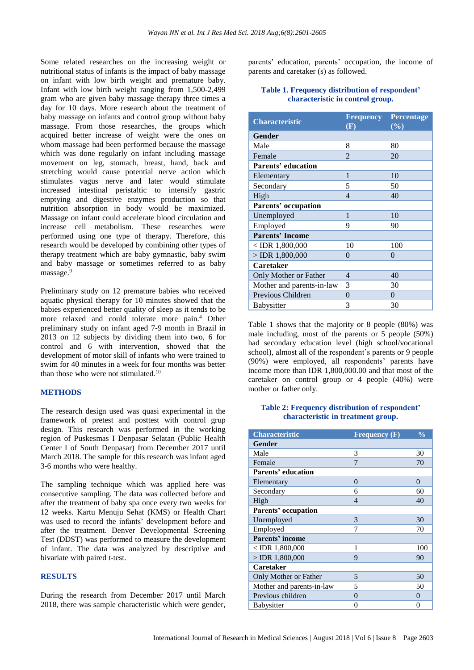Some related researches on the increasing weight or nutritional status of infants is the impact of baby massage on infant with low birth weight and premature baby. Infant with low birth weight ranging from 1,500-2,499 gram who are given baby massage therapy three times a day for 10 days. More research about the treatment of baby massage on infants and control group without baby massage. From those researches, the groups which acquired better increase of weight were the ones on whom massage had been performed because the massage which was done regularly on infant including massage movement on leg, stomach, breast, hand, back and stretching would cause potential nerve action which stimulates vagus nerve and later would stimulate increased intestinal peristaltic to intensify gastric emptying and digestive enzymes production so that nutrition absorption in body would be maximized. Massage on infant could accelerate blood circulation and increase cell metabolism. These researches were performed using one type of therapy. Therefore, this research would be developed by combining other types of therapy treatment which are baby gymnastic, baby swim and baby massage or sometimes referred to as baby massage.<sup>9</sup>

Preliminary study on 12 premature babies who received aquatic physical therapy for 10 minutes showed that the babies experienced better quality of sleep as it tends to be more relaxed and could tolerate more pain. <sup>4</sup> Other preliminary study on infant aged 7-9 month in Brazil in 2013 on 12 subjects by dividing them into two, 6 for control and 6 with intervention, showed that the development of motor skill of infants who were trained to swim for 40 minutes in a week for four months was better than those who were not stimulated.<sup>10</sup>

#### **METHODS**

The research design used was quasi experimental in the framework of pretest and posttest with control grup design*.* This research was performed in the working region of Puskesmas I Denpasar Selatan (Public Health Center I of South Denpasar) from December 2017 until March 2018. The sample for this research was infant aged 3-6 months who were healthy.

The sampling technique which was applied here was consecutive sampling. The data was collected before and after the treatment of baby spa once every two weeks for 12 weeks. Kartu Menuju Sehat (KMS) or Health Chart was used to record the infants' development before and after the treatment. Denver Developmental Screening Test (DDST) was performed to measure the development of infant. The data was analyzed by descriptive and bivariate with paired t-test.

#### **RESULTS**

During the research from December 2017 until March 2018, there was sample characteristic which were gender, parents' education, parents' occupation, the income of parents and caretaker (s) as followed.

#### **Table 1. Frequency distribution of respondent' characteristic in control group.**

| <b>Characteristic</b>      | <b>Frequency</b><br>(F) | <b>Percentage</b><br>$(\%)$ |
|----------------------------|-------------------------|-----------------------------|
| Gender                     |                         |                             |
| Male                       | 8                       | 80                          |
| Female                     | $\overline{2}$          | 20                          |
| Parents' education         |                         |                             |
| Elementary                 | 1                       | 10                          |
| Secondary                  | 5                       | 50                          |
| High                       | $\overline{4}$          | 40                          |
| <b>Parents' occupation</b> |                         |                             |
| Unemployed                 | 1                       | 10                          |
| Employed                   | 9                       | 90                          |
| <b>Parents' Income</b>     |                         |                             |
| $<$ IDR 1,800,000          | 10                      | 100                         |
| $>$ IDR 1,800,000          | $\theta$                | $\theta$                    |
| <b>Caretaker</b>           |                         |                             |
| Only Mother or Father      | 4                       | 40                          |
| Mother and parents-in-law  | 3                       | 30                          |
| Previous Children          | $\theta$                | $\theta$                    |
| <b>Babysitter</b>          | 3                       | 30                          |

Table 1 shows that the majority or 8 people (80%) was male including, most of the parents or 5 people (50%) had secondary education level (high school/vocational school), almost all of the respondent's parents or 9 people (90%) were employed, all respondents' parents have income more than IDR 1,800,000.00 and that most of the caretaker on control group or 4 people (40%) were mother or father only.

#### **Table 2: Frequency distribution of respondent' characteristic in treatment group.**

| <b>Characteristic</b>     | Frequency (F) | $\frac{0}{0}$ |
|---------------------------|---------------|---------------|
| <b>Gender</b>             |               |               |
| Male                      | 3             | 30            |
| Female                    | 7             | 70            |
| <b>Parents' education</b> |               |               |
| Elementary                | $\theta$      | $\Omega$      |
| Secondary                 | 6             | 60            |
| High                      | 4             | 40            |
| Parents' occupation       |               |               |
| Unemployed                | 3             | 30            |
| Employed                  | 7             | 70            |
| <b>Parents' income</b>    |               |               |
| $<$ IDR 1,800,000         | 1             | 100           |
| $>$ IDR 1,800,000         | 9             | 90            |
| <b>Caretaker</b>          |               |               |
| Only Mother or Father     | 5             | 50            |
| Mother and parents-in-law | 5             | 50            |
| Previous children         | $\Omega$      | $\Omega$      |
| <b>Babysitter</b>         | 0             | 0             |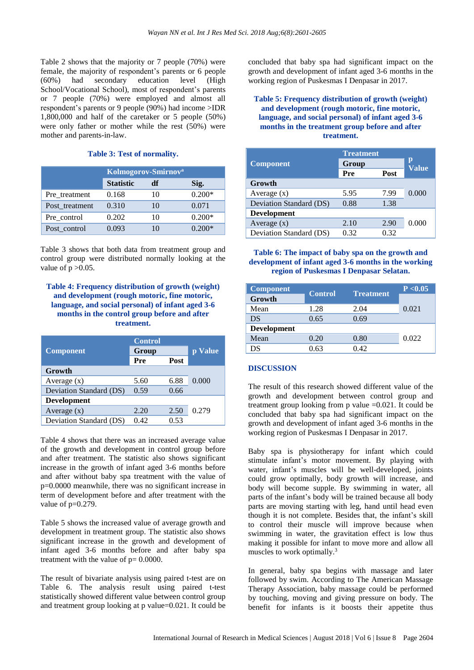Table 2 shows that the majority or 7 people (70%) were female, the majority of respondent's parents or 6 people (60%) had secondary education level (High School/Vocational School), most of respondent's parents or 7 people (70%) were employed and almost all respondent's parents or 9 people (90%) had income >IDR 1,800,000 and half of the caretaker or 5 people (50%) were only father or mother while the rest (50%) were mother and parents-in-law.

# **Table 3: Test of normality.**

|                | Kolmogorov-Smirnov <sup>a</sup> |    |          |
|----------------|---------------------------------|----|----------|
|                | <b>Statistic</b>                | df | Sig.     |
| Pre treatment  | 0.168                           | 10 | $0.200*$ |
| Post_treatment | 0.310                           | 10 | 0.071    |
| Pre control    | 0.202                           | 10 | $0.200*$ |
| Post control   | 0.093                           | 10 | 0.200*   |

Table 3 shows that both data from treatment group and control group were distributed normally looking at the value of  $p > 0.05$ .

# **Table 4: Frequency distribution of growth (weight) and development (rough motoric, fine motoric, language, and social personal) of infant aged 3-6 months in the control group before and after treatment.**

|                         | <b>Control</b> |      |         |
|-------------------------|----------------|------|---------|
| <b>Component</b>        | Group          |      | p Value |
|                         | Pre            | Post |         |
| Growth                  |                |      |         |
| Average $(x)$           | 5.60           | 6.88 | 0.000   |
| Deviation Standard (DS) | 0.59           | 0.66 |         |
| <b>Development</b>      |                |      |         |
| Average $(x)$           | 2.20           | 2.50 | 0.279   |
| Deviation Standard (DS) | 0.42           | 0.53 |         |

Table 4 shows that there was an increased average value of the growth and development in control group before and after treatment. The statistic also shows significant increase in the growth of infant aged 3-6 months before and after without baby spa treatment with the value of p=0.0000 meanwhile, there was no significant increase in term of development before and after treatment with the value of  $p=0.279$ .

Table 5 shows the increased value of average growth and development in treatment group. The statistic also shows significant increase in the growth and development of infant aged 3-6 months before and after baby spa treatment with the value of  $p = 0.0000$ .

The result of bivariate analysis using paired t-test are on Table 6. The analysis result using paired t-test statistically showed different value between control group and treatment group looking at p value=0.021. It could be concluded that baby spa had significant impact on the growth and development of infant aged 3-6 months in the working region of Puskesmas I Denpasar in 2017.

## **Table 5: Frequency distribution of growth (weight) and development (rough motoric, fine motoric, language, and social personal) of infant aged 3-6 months in the treatment group before and after treatment.**

|                         | <b>Treatment</b> |      |                   |
|-------------------------|------------------|------|-------------------|
| <b>Component</b>        | Group            |      | р<br><b>Value</b> |
|                         | Pre              | Post |                   |
| Growth                  |                  |      |                   |
| Average $(x)$           | 5.95             | 7.99 | 0.000             |
| Deviation Standard (DS) | 0.88             | 1.38 |                   |
| <b>Development</b>      |                  |      |                   |
| Average $(x)$           | 2.10             | 2.90 | 0.000             |
| Deviation Standard (DS) | 0.32             | 0.32 |                   |

### **Table 6: The impact of baby spa on the growth and development of infant aged 3-6 months in the working region of Puskesmas I Denpasar Selatan.**

| <b>Component</b>   | <b>Treatment</b><br><b>Control</b> | P < 0.05 |       |
|--------------------|------------------------------------|----------|-------|
| Growth             |                                    |          |       |
| Mean               | 1.28                               | 2.04     | 0.021 |
| DS                 | 0.65                               | 0.69     |       |
| <b>Development</b> |                                    |          |       |
| Mean               | 0.20                               | 0.80     | 0.022 |
| DS                 | 0.63                               | 0.42     |       |

# **DISCUSSION**

The result of this research showed different value of the growth and development between control group and treatment group looking from p value  $=0.021$ . It could be concluded that baby spa had significant impact on the growth and development of infant aged 3-6 months in the working region of Puskesmas I Denpasar in 2017.

Baby spa is physiotherapy for infant which could stimulate infant's motor movement. By playing with water, infant's muscles will be well-developed, joints could grow optimally, body growth will increase, and body will become supple. By swimming in water, all parts of the infant's body will be trained because all body parts are moving starting with leg, hand until head even though it is not complete. Besides that, the infant's skill to control their muscle will improve because when swimming in water, the gravitation effect is low thus making it possible for infant to move more and allow all muscles to work optimally. 3

In general, baby spa begins with massage and later followed by swim. According to The American Massage Therapy Association, baby massage could be performed by touching, moving and giving pressure on body. The benefit for infants is it boosts their appetite thus